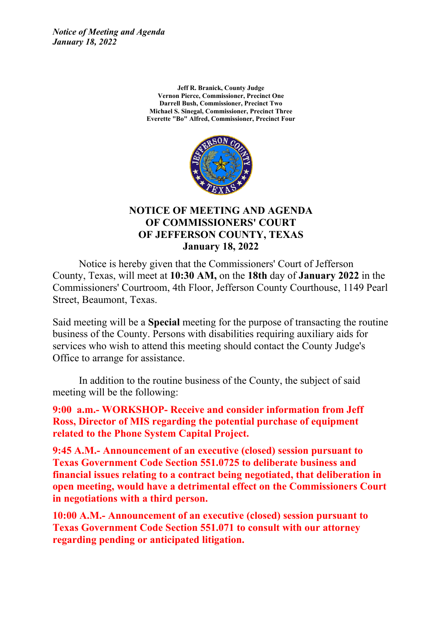> **Jeff R. Branick, County Judge Vernon Pierce, Commissioner, Precinct One Darrell Bush, Commissioner, Precinct Two Michael S. Sinegal, Commissioner, Precinct Three Everette "Bo" Alfred, Commissioner, Precinct Four**



#### **NOTICE OF MEETING AND AGENDA OF COMMISSIONERS' COURT OF JEFFERSON COUNTY, TEXAS January 18, 2022**

Notice is hereby given that the Commissioners' Court of Jefferson County, Texas, will meet at **10:30 AM,** on the **18th** day of **January 2022** in the Commissioners' Courtroom, 4th Floor, Jefferson County Courthouse, 1149 Pearl Street, Beaumont, Texas.

Said meeting will be <sup>a</sup> **Special** meeting for the purpose of transacting the routine business of the County. Persons with disabilities requiring auxiliary aids for services who wish to attend this meeting should contact the County Judge's Office to arrange for assistance.

In addition to the routine business of the County, the subject of said meeting will be the following:

**9:00 a.m.- WORKSHOP- Receive and consider information from Jeff Ross, Director of MIS regarding the potential purchase of equipment related to the Phone System Capital Project.**

**9:45 A.M.- Announcement of an executive (closed) session pursuant to Texas Government Code Section 551.0725 to deliberate business and financial issues relating to <sup>a</sup> contract being negotiated, that deliberation in open meeting, would have <sup>a</sup> detrimental effect on the Commissioners Court in negotiations with <sup>a</sup> third person.**

**10:00 A.M.- Announcement of an executive (closed) session pursuant to Texas Government Code Section 551.071 to consult with our attorney regarding pending or anticipated litigation.**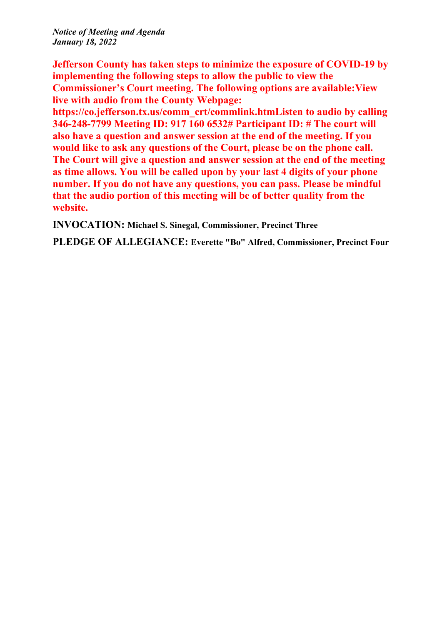**Jefferson County has taken steps to minimize the exposure of COVID-19 by implementing the following steps to allow the public to view the Commissioner's Court meeting. The following options are available:View live with audio from the County Webpage:**

**https://co.jefferson.tx.us/comm\_crt/commlink.htmListen to audio by calling 346-248-7799 Meeting ID: 917 160 6532# Participant ID: # The court will also have <sup>a</sup> question and answer session at the end of the meeting. If you would like to ask any questions of the Court, please be on the phone call. The Court will give <sup>a</sup> question and answer session at the end of the meeting as time allows. You will be called upon by your last 4 digits of your phone number. If you do not have any questions, you can pass. Please be mindful that the audio portion of this meeting will be of better quality from the website.**

**INVOCATION: Michael S. Sinegal, Commissioner, Precinct Three**

**PLEDGE OF ALLEGIANCE: Everette "Bo" Alfred, Commissioner, Precinct Four**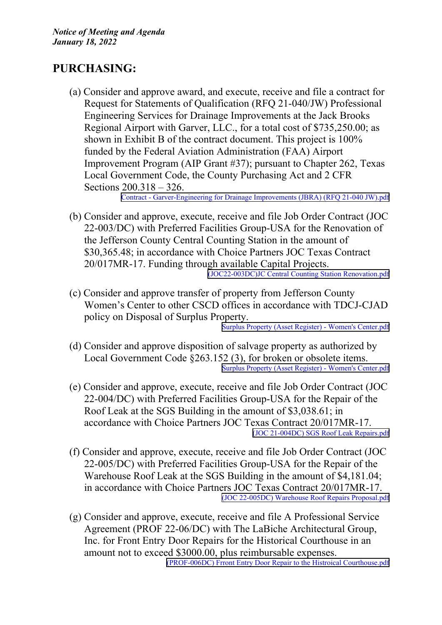## **PURCHASING:**

(a) Consider and approve award, and execute, receive and file <sup>a</sup> contract for Request for Statements of Qualification (RFQ 21-040/JW) Professional Engineering Services for Drainage Improvements at the Jack Brooks Regional Airport with Garver, LLC., for <sup>a</sup> total cost of \$735,250.00; as shown in Exhibit B of the contract document. This project is 100% funded by the Federal Aviation Administration (FAA) Airport Improvement Program (AIP Grant #37); pursuan<sup>t</sup> to Chapter 262, Texas Local Government Code, the County Purchasing Act and 2 CFR Sections 200.318 – 326.

Contract - [Garver-Engineering](http://co.jefferson.tx.us/agenda/agendas_pl/20220118_674/Attachments/Contract - Garver-Engineering for Drainage Improvements (JBRA) (RFQ 21-040 JW).pdf) for Drainage Improvements (JBRA) (RFQ 21-040 JW).pdf

- (b) Consider and approve, execute, receive and file Job Order Contract (JOC 22-003/DC) with Preferred Facilities Group-USA for the Renovation of the Jefferson County Central Counting Station in the amount of \$30,365.48; in accordance with Choice Partners JOC Texas Contract 20/017MR-17. Funding through available Capital Projects. [\(JOC22-003DC\)JC](http://co.jefferson.tx.us/agenda/agendas_pl/20220118_674/Attachments/(JOC22-003DC)JC Central Counting Station Renovation.pdf) Central Counting Station Renovation.pdf
- (c) Consider and approve transfer of property from Jefferson County Women's Center to other CSCD offices in accordance with TDCJ-CJAD policy on Disposal of Surplus Property.

Surplus Property (Asset Register) - Women's [Center.pdf](http://co.jefferson.tx.us/agenda/agendas_pl/20220118_674/Attachments/Surplus Property (Asset Register) - Women)

- (d) Consider and approve disposition of salvage property as authorized by Local Government Code §263.152 (3), for broken or obsolete items. Surplus Property (Asset Register) - Women's [Center.pdf](http://co.jefferson.tx.us/agenda/agendas_pl/20220118_674/Attachments/Surplus Property (Asset Register) - Women)
- (e) Consider and approve, execute, receive and file Job Order Contract (JOC 22-004/DC) with Preferred Facilities Group-USA for the Repair of the Roof Leak at the SGS Building in the amount of \$3,038.61; in accordance with Choice Partners JOC Texas Contract 20/017MR-17. (JOC 21-004DC) SGS Roof Leak [Repairs.pdf](http://co.jefferson.tx.us/agenda/agendas_pl/20220118_674/Attachments/(JOC 21-004DC) SGS Roof Leak Repairs.pdf)
- (f) Consider and approve, execute, receive and file Job Order Contract (JOC 22-005/DC) with Preferred Facilities Group-USA for the Repair of the Warehouse Roof Leak at the SGS Building in the amount of \$4,181.04; in accordance with Choice Partners JOC Texas Contract 20/017MR-17. (JOC 22-005DC) Warehouse Roof Repairs [Proposal.pdf](http://co.jefferson.tx.us/agenda/agendas_pl/20220118_674/Attachments/(JOC 22-005DC) Warehouse Roof Repairs Proposal.pdf)
- (g) Consider and approve, execute, receive and file A Professional Service Agreement (PROF 22-06/DC) with The LaBiche Architectural Group, Inc. for Front Entry Door Repairs for the Historical Courthouse in an amount not to exceed \$3000.00, plus reimbursable expenses.

[\(PROF-006DC\)](http://co.jefferson.tx.us/agenda/agendas_pl/20220118_674/Attachments/(PROF-006DC) Frront Entry Door Repair to the Histroical Courthouse.pdf) Frront Entry Door Repair to the Histroical Courthouse.pdf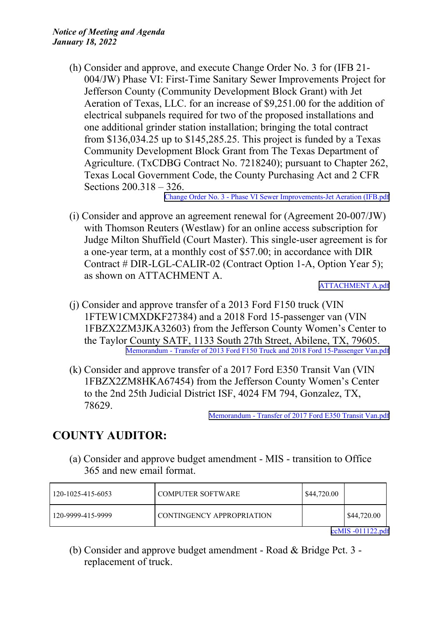(h) Consider and approve, and execute Change Order No. 3 for (IFB 21- 004/JW) Phase VI: First-Time Sanitary Sewer Improvements Project for Jefferson County (Community Development Block Grant) with Jet Aeration of Texas, LLC. for an increase of \$9,251.00 for the addition of electrical subpanels required for two of the proposed installations and one additional grinder station installation; bringing the total contract from \$136,034.25 up to \$145,285.25. This project is funded by <sup>a</sup> Texas Community Development Block Grant from The Texas Department of Agriculture. (TxCDBG Contract No. 7218240); pursuan<sup>t</sup> to Chapter 262, Texas Local Government Code, the County Purchasing Act and 2 CFR Sections 200.318 – 326.

Change Order No. 3 - Phase VI Sewer [Improvements-Jet](http://co.jefferson.tx.us/agenda/agendas_pl/20220118_674/Attachments/Change Order No. 3 - Phase VI Sewer Improvements-Jet Aeration (IFB.pdf) Aeration (IFB.pdf

(i) Consider and approve an agreemen<sup>t</sup> renewal for (Agreement 20-007/JW) with Thomson Reuters (Westlaw) for an online access subscription for Judge Milton Shuffield (Court Master). This single-user agreemen<sup>t</sup> is for <sup>a</sup> one-year term, at <sup>a</sup> monthly cost of \$57.00; in accordance with DIR Contract # DIR-LGL-CALIR-02 (Contract Option 1-A, Option Year 5); as shown on ATTACHMENT A.

[ATTACHMENT](http://co.jefferson.tx.us/agenda/agendas_pl/20220118_674/Attachments/ATTACHMENT A.pdf) A.pdf

- (j) Consider and approve transfer of <sup>a</sup> 2013 Ford F150 truck (VIN 1FTEW1CMXDKF27384) and <sup>a</sup> 2018 Ford 15-passenger van (VIN 1FBZX2ZM3JKA32603) from the Jefferson County Women's Center to the Taylor County SATF, 1133 South 27th Street, Abilene, TX, 79605. Memorandum - Transfer of 2013 Ford F150 Truck and 2018 Ford [15-Passenger](http://co.jefferson.tx.us/agenda/agendas_pl/20220118_674/Attachments/Memorandum - Transfer of 2013 Ford F150 Truck and 2018 Ford 15-Passenger Van.pdf) Van.pdf
- (k) Consider and approve transfer of <sup>a</sup> 2017 Ford E350 Transit Van (VIN 1FBZX2ZM8HKA67454) from the Jefferson County Women's Center to the 2nd 25th Judicial District ISF, 4024 FM 794, Gonzalez, TX, 78629.

[Memorandum](http://co.jefferson.tx.us/agenda/agendas_pl/20220118_674/Attachments/Memorandum - Transfer of 2017 Ford E350 Transit Van.pdf) - Transfer of 2017 Ford E350 Transit Van.pdf

## **COUNTY AUDITOR:**

(a) Consider and approve budget amendment - MIS - transition to Office 365 and new email format.

| 120-1025-415-6053   | <b>COMPUTER SOFTWARE</b>  | \$44,720.00 |             |
|---------------------|---------------------------|-------------|-------------|
| 120-9999-415-9999   | CONTINGENCY APPROPRIATION |             | \$44,720.00 |
| $ccMIS -011122.pdf$ |                           |             |             |

(b) Consider and approve budget amendment - Road & Bridge Pct. 3 replacement of truck.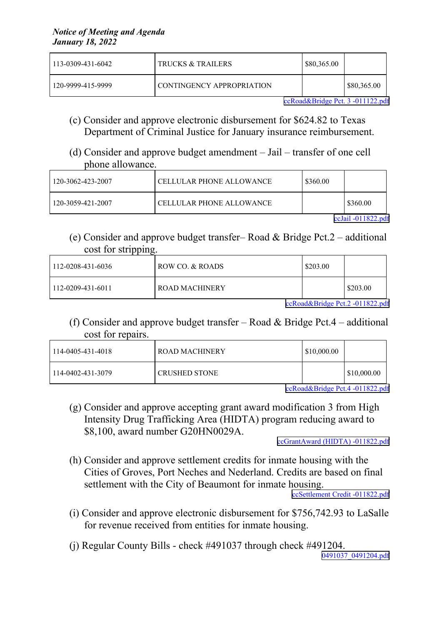| 113-0309-431-6042 | <b>TRUCKS &amp; TRAILERS</b> | \$80,365.00 |             |
|-------------------|------------------------------|-------------|-------------|
| 120-9999-415-9999 | CONTINGENCY APPROPRIATION    |             | \$80,365.00 |

[ccRoad&Bridge](http://co.jefferson.tx.us/agenda/agendas_pl/20220118_674/Attachments/ccRoad&Bridge Pct. 3 -011122.pdf) Pct. 3 -011122.pdf

- (c) Consider and approve electronic disbursement for \$624.82 to Texas Department of Criminal Justice for January insurance reimbursement.
- (d) Consider and approve budget amendment Jail transfer of one cell phone allowance.

| $120-3062-423-2007$ | CELLULAR PHONE ALLOWANCE | \$360.00 |          |
|---------------------|--------------------------|----------|----------|
| $120-3059-421-2007$ | CELLULAR PHONE ALLOWANCE |          | \$360.00 |

ccJail [-011822.pdf](http://co.jefferson.tx.us/agenda/agendas_pl/20220118_674/Attachments/ccJail -011822.pdf)

(e) Consider and approve budget transfer– Road & Bridge Pct.2 – additional cost for stripping.

| 112-0208-431-6036 | ROW CO. & ROADS  | \$203.00 |          |
|-------------------|------------------|----------|----------|
| 112-0209-431-6011 | l ROAD MACHINERY |          | \$203.00 |

[ccRoad&Bridge](http://co.jefferson.tx.us/agenda/agendas_pl/20220118_674/Attachments/ccRoad&Bridge Pct.2 -011822.pdf) Pct.2 -011822.pdf

(f) Consider and approve budget transfer – Road & Bridge Pct.4 – additional cost for repairs.

| 114-0405-431-4018 | ROAD MACHINERY       | \$10,000.00 |                           |
|-------------------|----------------------|-------------|---------------------------|
| 114-0402-431-3079 | <b>CRUSHED STONE</b> |             | $\frac{1}{2}$ \$10,000.00 |

[ccRoad&Bridge](http://co.jefferson.tx.us/agenda/agendas_pl/20220118_674/Attachments/ccRoad&Bridge Pct.4 -011822.pdf) Pct.4 -011822.pdf

(g) Consider and approve accepting gran<sup>t</sup> award modification 3 from High Intensity Drug Trafficking Area (HIDTA) program reducing award to \$8,100, award number G20HN0029A.

ccGrantAward (HIDTA) [-011822.pdf](http://co.jefferson.tx.us/agenda/agendas_pl/20220118_674/Attachments/ccGrantAward (HIDTA) -011822.pdf)

(h) Consider and approve settlement credits for inmate housing with the Cities of Groves, Port Neches and Nederland. Credits are based on final settlement with the City of Beaumont for inmate housing.

ccSettlement Credit [-011822.pdf](http://co.jefferson.tx.us/agenda/agendas_pl/20220118_674/Attachments/ccSettlement Credit -011822.pdf)

- (i) Consider and approve electronic disbursement for \$756,742.93 to LaSalle for revenue received from entities for inmate housing.
- (j) Regular County Bills check #491037 through check #491204.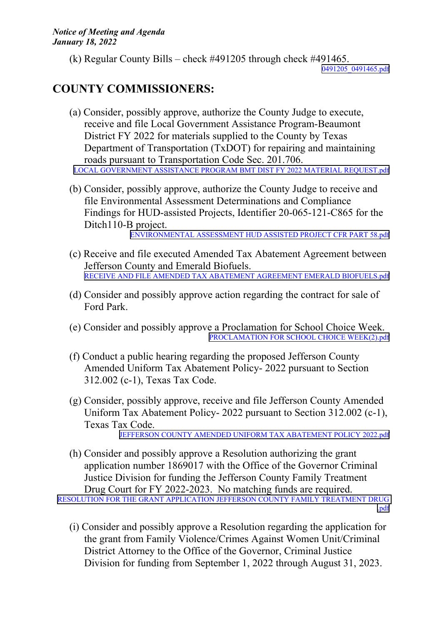(k) Regular County Bills – check #491205 through check #491465.

[0491205\\_0491465.pdf](http://co.jefferson.tx.us/agenda/agendas_pl/20220118_674/Attachments/0491205_0491465.pdf)

## **COUNTY COMMISSIONERS:**

- (a) Consider, possibly approve, authorize the County Judge to execute, receive and file Local Government Assistance Program-Beaumont District FY 2022 for materials supplied to the County by Texas Department of Transportation (TxDOT) for repairing and maintaining roads pursuan<sup>t</sup> to Transportation Code Sec. 201.706. LOCAL GOVERNMENT ASSISTANCE PROGRAM BMT DIST FY 2022 MATERIAL [REQUEST.pdf](http://co.jefferson.tx.us/agenda/agendas_pl/20220118_674/Attachments/LOCAL GOVERNMENT ASSISTANCE PROGRAM BMT DIST FY 2022 MATERIAL REQUEST.pdf)
- (b) Consider, possibly approve, authorize the County Judge to receive and file Environmental Assessment Determinations and Compliance Findings for HUD-assisted Projects, Identifier 20-065-121-C865 for the Ditch<sub>110</sub>-B project.

[ENVIRONMENTAL](http://co.jefferson.tx.us/agenda/agendas_pl/20220118_674/Attachments/ENVIRONMENTAL ASSESSMENT HUD ASSISTED PROJECT CFR PART 58.pdf) ASSESSMENT HUD ASSISTED PROJECT CFR PART 58.pdf

- (c) Receive and file executed Amended Tax Abatement Agreement between Jefferson County and Emerald Biofuels. RECEIVE AND FILE AMENDED TAX ABATEMENT AGREEMENT EMERALD [BIOFUELS.pdf](http://co.jefferson.tx.us/agenda/agendas_pl/20220118_674/Attachments/RECEIVE AND FILE AMENDED TAX ABATEMENT AGREEMENT EMERALD BIOFUELS.pdf)
- (d) Consider and possibly approve action regarding the contract for sale of Ford Park.
- (e) Consider and possibly approve <sup>a</sup> Proclamation for School Choice Week. [PROCLAMATION](http://co.jefferson.tx.us/agenda/agendas_pl/20220118_674/Attachments/PROCLAMATION FOR SCHOOL CHOICE WEEK(2).pdf) FOR SCHOOL CHOICE WEEK(2).pdf
- (f) Conduct <sup>a</sup> public hearing regarding the proposed Jefferson County Amended Uniform Tax Abatement Policy- 2022 pursuan<sup>t</sup> to Section 312.002 (c-1), Texas Tax Code.
- (g) Consider, possibly approve, receive and file Jefferson County Amended Uniform Tax Abatement Policy- 2022 pursuan<sup>t</sup> to Section 312.002 (c-1), Texas Tax Code.

JEFFERSON COUNTY AMENDED UNIFORM TAX [ABATEMENT](http://co.jefferson.tx.us/agenda/agendas_pl/20220118_674/Attachments/JEFFERSON COUNTY AMENDED UNIFORM TAX ABATEMENT POLICY 2022.pdf) POLICY 2022.pdf

(h) Consider and possibly approve <sup>a</sup> Resolution authorizing the gran<sup>t</sup> application number 1869017 with the Office of the Governor Criminal Justice Division for funding the Jefferson County Family Treatment Drug Court for FY 2022-2023. No matching funds are required. RESOLUTION FOR THE GRANT [APPLICATION](http://co.jefferson.tx.us/agenda/agendas_pl/20220118_674/Attachments/RESOLUTION FOR THE GRANT APPLICATION JEFFERSON COUNTY FAMILY TREATMENT DRUG  .pdf) JEFFERSON COUNTY FAMILY TREATMENT DRUG

[.pdf](http://co.jefferson.tx.us/agenda/agendas_pl/20220118_674/Attachments/RESOLUTION FOR THE GRANT APPLICATION JEFFERSON COUNTY FAMILY TREATMENT DRUG  .pdf)

(i) Consider and possibly approve <sup>a</sup> Resolution regarding the application for the gran<sup>t</sup> from Family Violence/Crimes Against Women Unit/Criminal District Attorney to the Office of the Governor, Criminal Justice Division for funding from September 1, 2022 through August 31, 2023.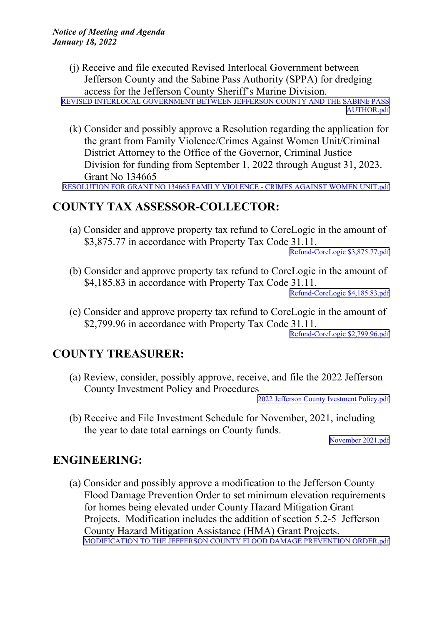(j) Receive and file executed Revised Interlocal Government between Jefferson County and the Sabine Pass Authority (SPPA) for dredging access for the Jefferson County Sheriff's Marine Division.

REVISED INTERLOCAL [GOVERNMENT](http://co.jefferson.tx.us/agenda/agendas_pl/20220118_674/Attachments/REVISED  INTERLOCAL GOVERNMENT BETWEEN JEFFERSON COUNTY AND THE SABINE PASS AUTHOR.pdf) BETWEEN JEFFERSON COUNTY AND THE SABINE PASS [AUTHOR.pdf](http://co.jefferson.tx.us/agenda/agendas_pl/20220118_674/Attachments/REVISED  INTERLOCAL GOVERNMENT BETWEEN JEFFERSON COUNTY AND THE SABINE PASS AUTHOR.pdf)

(k) Consider and possibly approve <sup>a</sup> Resolution regarding the application for the gran<sup>t</sup> from Family Violence/Crimes Against Women Unit/Criminal District Attorney to the Office of the Governor, Criminal Justice Division for funding from September 1, 2022 through August 31, 2023. Grant No 134665

[RESOLUTION](http://co.jefferson.tx.us/agenda/agendas_pl/20220118_674/Attachments/RESOLUTION FOR GRANT NO 134665 FAMILY VIOLENCE - CRIMES AGAINST WOMEN UNIT.pdf) FOR GRANT NO 134665 FAMILY VIOLENCE - CRIMES AGAINST WOMEN UNIT.pdf

#### **COUNTY TAX ASSESSOR-COLLECTOR:**

(a) Consider and approve property tax refund to CoreLogic in the amount of \$3,875.77 in accordance with Property Tax Code 31.11.

[Refund-CoreLogic](http://co.jefferson.tx.us/agenda/agendas_pl/20220118_674/Attachments/Refund-CoreLogic $3,875.77.pdf) \$3,875.77.pdf

(b) Consider and approve property tax refund to CoreLogic in the amount of \$4,185.83 in accordance with Property Tax Code 31.11.

[Refund-CoreLogic](http://co.jefferson.tx.us/agenda/agendas_pl/20220118_674/Attachments/Refund-CoreLogic $4,185.83.pdf) \$4,185.83.pdf

(c) Consider and approve property tax refund to CoreLogic in the amount of \$2,799.96 in accordance with Property Tax Code 31.11.

[Refund-CoreLogic](http://co.jefferson.tx.us/agenda/agendas_pl/20220118_674/Attachments/Refund-CoreLogic $2,799.96.pdf) \$2,799.96.pdf

#### **COUNTY TREASURER:**

(a) Review, consider, possibly approve, receive, and file the 2022 Jefferson County Investment Policy and Procedures

2022 Jefferson County Ivestment [Policy.pdf](http://co.jefferson.tx.us/agenda/agendas_pl/20220118_674/Attachments/2022 Jefferson County Ivestment Policy.pdf)

(b) Receive and File Investment Schedule for November, 2021, including the year to date total earnings on County funds.

November [2021.pdf](http://co.jefferson.tx.us/agenda/agendas_pl/20220118_674/Attachments/November 2021.pdf)

#### **ENGINEERING:**

(a) Consider and possibly approve <sup>a</sup> modification to the Jefferson County Flood Damage Prevention Order to set minimum elevation requirements for homes being elevated under County Hazard Mitigation Grant Projects. Modification includes the addition of section 5.2-5 Jefferson County Hazard Mitigation Assistance (HMA) Grant Projects. [MODIFICATION](http://co.jefferson.tx.us/agenda/agendas_pl/20220118_674/Attachments/MODIFICATION TO THE JEFFERSON COUNTY FLOOD DAMAGE PREVENTION ORDER.pdf) TO THE JEFFERSON COUNTY FLOOD DAMAGE PREVENTION ORDER.pdf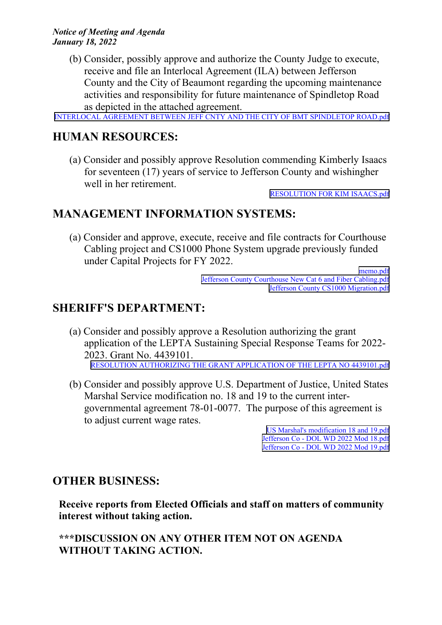(b) Consider, possibly approve and authorize the County Judge to execute, receive and file an Interlocal Agreement (ILA) between Jefferson County and the City of Beaumont regarding the upcoming maintenance activities and responsibility for future maintenance of Spindletop Road as depicted in the attached agreement.

[INTERLOCAL](http://co.jefferson.tx.us/agenda/agendas_pl/20220118_674/Attachments/INTERLOCAL AGREEMENT BETWEEN JEFF CNTY AND THE CITY OF BMT SPINDLETOP ROAD.pdf) AGREEMENT BETWEEN JEFF CNTY AND THE CITY OF BMT SPINDLETOP ROAD.pdf

### **HUMAN RESOURCES:**

(a) Consider and possibly approve Resolution commending Kimberly Isaacs for seventeen (17) years of service to Jefferson County and wishingher well in her retirement.

RESOLUTION FOR KIM [ISAACS.pdf](http://co.jefferson.tx.us/agenda/agendas_pl/20220118_674/Attachments/RESOLUTION FOR KIM ISAACS.pdf)

#### **MANAGEMENT INFORMATION SYSTEMS:**

(a) Consider and approve, execute, receive and file contracts for Courthouse Cabling project and CS1000 Phone System upgrade previously funded under Capital Projects for FY 2022.

> [memo.pdf](http://co.jefferson.tx.us/agenda/agendas_pl/20220118_674/Attachments/memo.pdf) Jefferson County Courthouse New Cat 6 and Fiber [Cabling.pdf](http://co.jefferson.tx.us/agenda/agendas_pl/20220118_674/Attachments/Jefferson County Courthouse New Cat 6 and Fiber Cabling.pdf) Jefferson County CS1000 [Migration.pdf](http://co.jefferson.tx.us/agenda/agendas_pl/20220118_674/Attachments/Jefferson County CS1000 Migration.pdf)

### **SHERIFF'S DEPARTMENT:**

- (a) Consider and possibly approve <sup>a</sup> Resolution authorizing the gran<sup>t</sup> application of the LEPTA Sustaining Special Response Teams for 2022- 2023. Grant No. 4439101. RESOLUTION [AUTHORIZING](http://co.jefferson.tx.us/agenda/agendas_pl/20220118_674/Attachments/RESOLUTION AUTHORIZING THE GRANT APPLICATION OF THE LEPTA NO 4439101.pdf) THE GRANT APPLICATION OF THE LEPTA NO 4439101.pdf
- (b) Consider and possibly approve U.S. Department of Justice, United States Marshal Service modification no. 18 and 19 to the current intergovernmental agreemen<sup>t</sup> 78-01-0077. The purpose of this agreemen<sup>t</sup> is to adjust current wage rates.

US Marshal's [modification](http://co.jefferson.tx.us/agenda/agendas_pl/20220118_674/Attachments/US Marshal) 18 and 19.pdf [Jefferson](http://co.jefferson.tx.us/agenda/agendas_pl/20220118_674/Attachments/Jefferson Co - DOL WD 2022 Mod 18.pdf) Co - DOL WD 2022 Mod 18.pdf [Jefferson](http://co.jefferson.tx.us/agenda/agendas_pl/20220118_674/Attachments/Jefferson Co - DOL WD 2022 Mod 19.pdf) Co - DOL WD 2022 Mod 19.pdf

#### **OTHER BUSINESS:**

**Receive reports from Elected Officials and staff on matters of community interest without taking action.**

**\*\*\*DISCUSSION ON ANY OTHER ITEM NOT ON AGENDA WITHOUT TAKING ACTION.**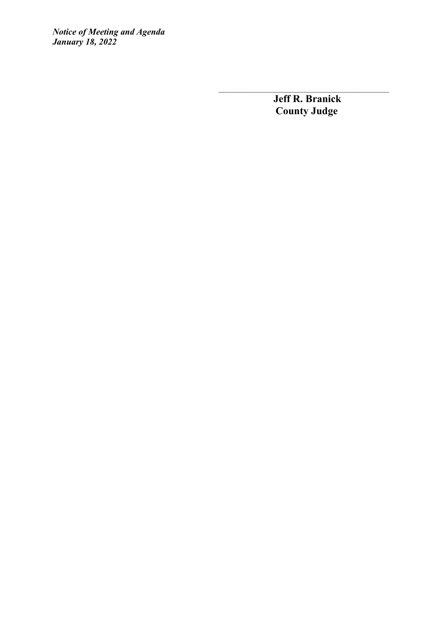> \_\_\_\_\_\_\_\_\_\_\_\_\_\_\_\_\_\_\_\_\_\_\_\_\_\_\_\_\_\_\_\_\_\_\_\_\_\_\_\_\_\_\_\_\_\_ **Jeff R. Branick County Judge**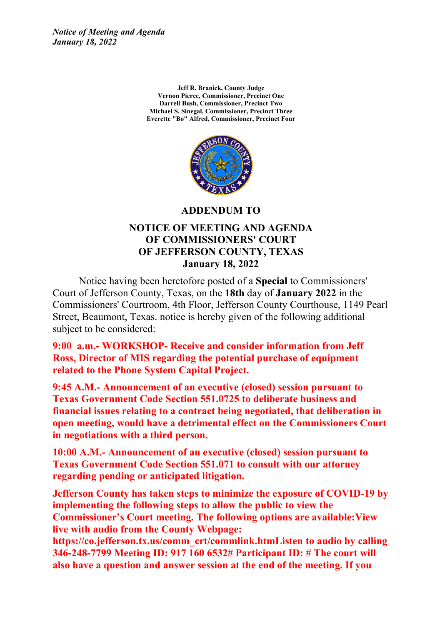> **Jeff R. Branick, County Judge Vernon Pierce, Commissioner, Precinct One Darrell Bush, Commissioner, Precinct Two Michael S. Sinegal, Commissioner, Precinct Three Everette "Bo" Alfred, Commissioner, Precinct Four**



#### **ADDENDUM TO**

#### **NOTICE OF MEETING AND AGENDA OF COMMISSIONERS' COURT OF JEFFERSON COUNTY, TEXAS January 18, 2022**

Notice having been heretofore posted of <sup>a</sup> **Special** to Commissioners' Court of Jefferson County, Texas, on the **18th** day of **January 2022** in the Commissioners' Courtroom, 4th Floor, Jefferson County Courthouse, 1149 Pearl Street, Beaumont, Texas. notice is hereby given of the following additional subject to be considered:

**9:00 a.m.- WORKSHOP- Receive and consider information from Jeff Ross, Director of MIS regarding the potential purchase of equipment related to the Phone System Capital Project.**

**9:45 A.M.- Announcement of an executive (closed) session pursuant to Texas Government Code Section 551.0725 to deliberate business and financial issues relating to <sup>a</sup> contract being negotiated, that deliberation in open meeting, would have <sup>a</sup> detrimental effect on the Commissioners Court in negotiations with <sup>a</sup> third person.**

**10:00 A.M.- Announcement of an executive (closed) session pursuant to Texas Government Code Section 551.071 to consult with our attorney regarding pending or anticipated litigation.**

**Jefferson County has taken steps to minimize the exposure of COVID-19 by implementing the following steps to allow the public to view the Commissioner's Court meeting. The following options are available:View live with audio from the County Webpage:**

**https://co.jefferson.tx.us/comm\_crt/commlink.htmListen to audio by calling 346-248-7799 Meeting ID: 917 160 6532# Participant ID: # The court will also have <sup>a</sup> question and answer session at the end of the meeting. If you**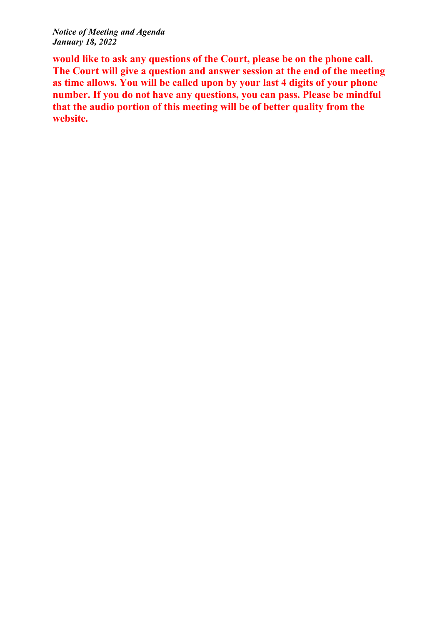**would like to ask any questions of the Court, please be on the phone call. The Court will give <sup>a</sup> question and answer session at the end of the meeting as time allows. You will be called upon by your last 4 digits of your phone number. If you do not have any questions, you can pass. Please be mindful that the audio portion of this meeting will be of better quality from the website.**